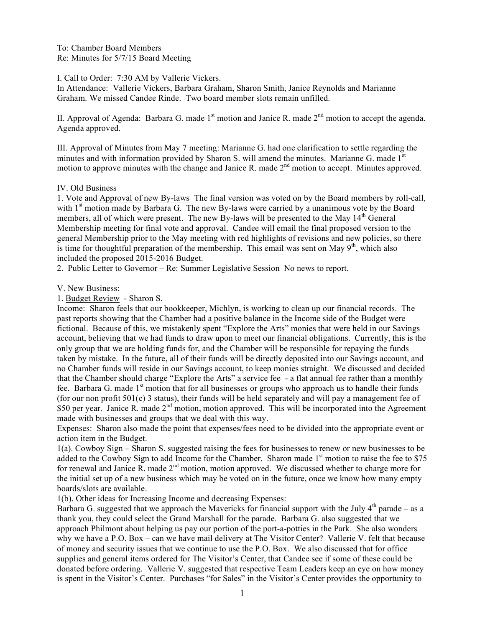To: Chamber Board Members Re: Minutes for 5/7/15 Board Meeting

I. Call to Order: 7:30 AM by Vallerie Vickers.

In Attendance: Vallerie Vickers, Barbara Graham, Sharon Smith, Janice Reynolds and Marianne Graham. We missed Candee Rinde. Two board member slots remain unfilled.

II. Approval of Agenda: Barbara G. made  $1<sup>st</sup>$  motion and Janice R. made  $2<sup>nd</sup>$  motion to accept the agenda. Agenda approved.

III. Approval of Minutes from May 7 meeting: Marianne G. had one clarification to settle regarding the minutes and with information provided by Sharon S. will amend the minutes. Marianne G. made 1<sup>st</sup> motion to approve minutes with the change and Janice R. made 2<sup>nd</sup> motion to accept. Minutes approved.

## IV. Old Business

1. Vote and Approval of new By-laws The final version was voted on by the Board members by roll-call, with 1<sup>st</sup> motion made by Barbara G. The new By-laws were carried by a unanimous vote by the Board members, all of which were present. The new By-laws will be presented to the May 14<sup>th</sup> General Membership meeting for final vote and approval. Candee will email the final proposed version to the general Membership prior to the May meeting with red highlights of revisions and new policies, so there is time for thoughtful preparation of the membership. This email was sent on May  $9<sup>th</sup>$ , which also included the proposed 2015-2016 Budget.

2. Public Letter to Governor – Re: Summer Legislative Session No news to report.

# V. New Business:

1. Budget Review - Sharon S.

Income: Sharon feels that our bookkeeper, Michlyn, is working to clean up our financial records. The past reports showing that the Chamber had a positive balance in the Income side of the Budget were fictional. Because of this, we mistakenly spent "Explore the Arts" monies that were held in our Savings account, believing that we had funds to draw upon to meet our financial obligations. Currently, this is the only group that we are holding funds for, and the Chamber will be responsible for repaying the funds taken by mistake. In the future, all of their funds will be directly deposited into our Savings account, and no Chamber funds will reside in our Savings account, to keep monies straight. We discussed and decided that the Chamber should charge "Explore the Arts" a service fee - a flat annual fee rather than a monthly fee. Barbara G. made 1<sup>st</sup> motion that for all businesses or groups who approach us to handle their funds (for our non profit 501(c) 3 status), their funds will be held separately and will pay a management fee of \$50 per year. Janice R. made 2<sup>nd</sup> motion, motion approved. This will be incorporated into the Agreement made with businesses and groups that we deal with this way.

Expenses: Sharon also made the point that expenses/fees need to be divided into the appropriate event or action item in the Budget.

1(a). Cowboy Sign – Sharon S. suggested raising the fees for businesses to renew or new businesses to be added to the Cowboy Sign to add Income for the Chamber. Sharon made  $1<sup>st</sup>$  motion to raise the fee to \$75 for renewal and Janice R. made  $2<sup>nd</sup>$  motion, motion approved. We discussed whether to charge more for the initial set up of a new business which may be voted on in the future, once we know how many empty boards/slots are available.

1(b). Other ideas for Increasing Income and decreasing Expenses:

Barbara G. suggested that we approach the Mavericks for financial support with the July  $4<sup>th</sup>$  parade – as a thank you, they could select the Grand Marshall for the parade. Barbara G. also suggested that we approach Philmont about helping us pay our portion of the port-a-potties in the Park. She also wonders why we have a P.O. Box – can we have mail delivery at The Visitor Center? Vallerie V. felt that because of money and security issues that we continue to use the P.O. Box. We also discussed that for office supplies and general items ordered for The Visitor's Center, that Candee see if some of these could be donated before ordering. Vallerie V. suggested that respective Team Leaders keep an eye on how money is spent in the Visitor's Center. Purchases "for Sales" in the Visitor's Center provides the opportunity to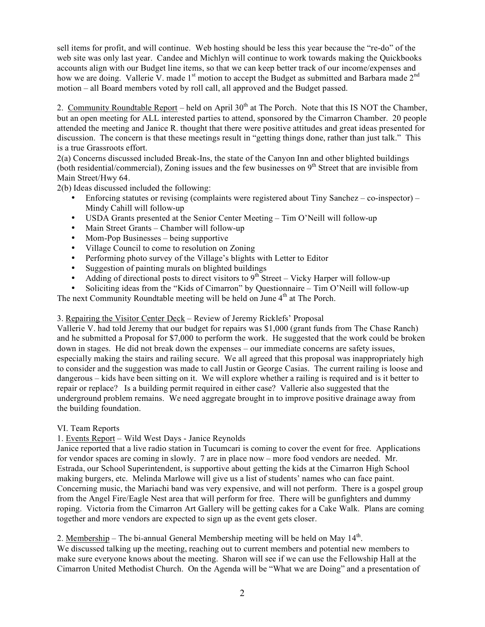sell items for profit, and will continue. Web hosting should be less this year because the "re-do" of the web site was only last year. Candee and Michlyn will continue to work towards making the Quickbooks accounts align with our Budget line items, so that we can keep better track of our income/expenses and how we are doing. Vallerie V. made 1<sup>st</sup> motion to accept the Budget as submitted and Barbara made 2<sup>nd</sup> motion – all Board members voted by roll call, all approved and the Budget passed.

2. Community Roundtable Report – held on April  $30<sup>th</sup>$  at The Porch. Note that this IS NOT the Chamber, but an open meeting for ALL interested parties to attend, sponsored by the Cimarron Chamber. 20 people attended the meeting and Janice R. thought that there were positive attitudes and great ideas presented for discussion. The concern is that these meetings result in "getting things done, rather than just talk." This is a true Grassroots effort.

2(a) Concerns discussed included Break-Ins, the state of the Canyon Inn and other blighted buildings (both residential/commercial), Zoning issues and the few businesses on  $9<sup>th</sup>$  Street that are invisible from Main Street/Hwy 64.

2(b) Ideas discussed included the following:

- Enforcing statutes or revising (complaints were registered about Tiny Sanchez co-inspector) Mindy Cahill will follow-up
- USDA Grants presented at the Senior Center Meeting Tim O'Neill will follow-up
- Main Street Grants Chamber will follow-up
- Mom-Pop Businesses being supportive
- Village Council to come to resolution on Zoning
- Performing photo survey of the Village's blights with Letter to Editor
- Suggestion of painting murals on blighted buildings
- Adding of directional posts to direct visitors to  $9<sup>th</sup>$  Street Vicky Harper will follow-up
- Soliciting ideas from the "Kids of Cimarron" by Questionnaire Tim O'Neill will follow-up

The next Community Roundtable meeting will be held on June  $4<sup>th</sup>$  at The Porch.

# 3. Repairing the Visitor Center Deck – Review of Jeremy Ricklefs' Proposal

Vallerie V. had told Jeremy that our budget for repairs was \$1,000 (grant funds from The Chase Ranch) and he submitted a Proposal for \$7,000 to perform the work. He suggested that the work could be broken down in stages. He did not break down the expenses – our immediate concerns are safety issues, especially making the stairs and railing secure. We all agreed that this proposal was inappropriately high to consider and the suggestion was made to call Justin or George Casias. The current railing is loose and dangerous – kids have been sitting on it. We will explore whether a railing is required and is it better to repair or replace? Is a building permit required in either case? Vallerie also suggested that the underground problem remains. We need aggregate brought in to improve positive drainage away from the building foundation.

## VI. Team Reports

## 1. Events Report – Wild West Days - Janice Reynolds

Janice reported that a live radio station in Tucumcari is coming to cover the event for free. Applications for vendor spaces are coming in slowly. 7 are in place now – more food vendors are needed. Mr. Estrada, our School Superintendent, is supportive about getting the kids at the Cimarron High School making burgers, etc. Melinda Marlowe will give us a list of students' names who can face paint. Concerning music, the Mariachi band was very expensive, and will not perform. There is a gospel group from the Angel Fire/Eagle Nest area that will perform for free. There will be gunfighters and dummy roping. Victoria from the Cimarron Art Gallery will be getting cakes for a Cake Walk. Plans are coming together and more vendors are expected to sign up as the event gets closer.

2. Membership – The bi-annual General Membership meeting will be held on May  $14<sup>th</sup>$ .

We discussed talking up the meeting, reaching out to current members and potential new members to make sure everyone knows about the meeting. Sharon will see if we can use the Fellowship Hall at the Cimarron United Methodist Church. On the Agenda will be "What we are Doing" and a presentation of